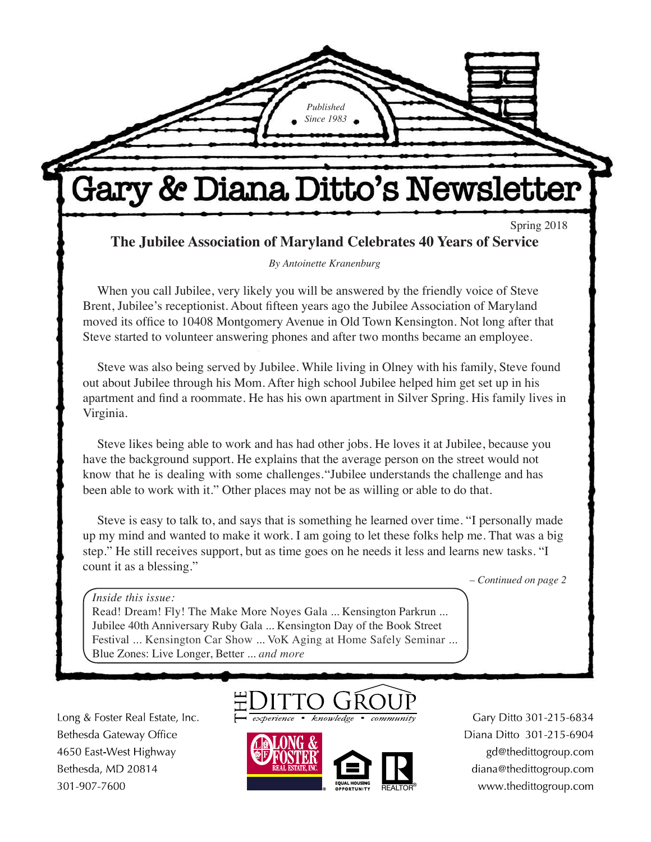Gary & Diana Ditto's Newsletter

*Published Since 1983*

Spring 2018

**The Jubilee Association of Maryland Celebrates 40 Years of Service**

*By Antoinette Kranenburg*

When you call Jubilee, very likely you will be answered by the friendly voice of Steve Brent, Jubilee's receptionist. About fifteen years ago the Jubilee Association of Maryland moved its office to 10408 Montgomery Avenue in Old Town Kensington. Not long after that Steve started to volunteer answering phones and after two months became an employee.

Steve was also being served by Jubilee. While living in Olney with his family, Steve found out about Jubilee through his Mom. After high school Jubilee helped him get set up in his apartment and find a roommate. He has his own apartment in Silver Spring. His family lives in Virginia.

Steve likes being able to work and has had other jobs. He loves it at Jubilee, because you have the background support. He explains that the average person on the street would not know that he is dealing with some challenges. "Jubilee understands the challenge and has been able to work with it." Other places may not be as willing or able to do that.

Steve is easy to talk to, and says that is something he learned over time. "I personally made up my mind and wanted to make it work. I am going to let these folks help me. That was a big step." He still receives support, but as time goes on he needs it less and learns new tasks. "I count it as a blessing."

*– Continued on page 2*

*Inside this issue:*

Read! Dream! Fly! The Make More Noyes Gala ... Kensington Parkrun ... Jubilee 40th Anniversary Ruby Gala ... Kensington Day of the Book Street Festival ... Kensington Car Show ... VoK Aging at Home Safely Seminar ... Blue Zones: Live Longer, Better ... *and more*

Long & Foster Real Estate, Inc. Bethesda Gateway Office 4650 East-West Highway Bethesda, MD 20814 301-907-7600

experience • knowledge



Gary Ditto 301-215-6834 Diana Ditto 301-215-6904 gd@thedittogroup.com diana@thedittogroup.com www.thedittogroup.com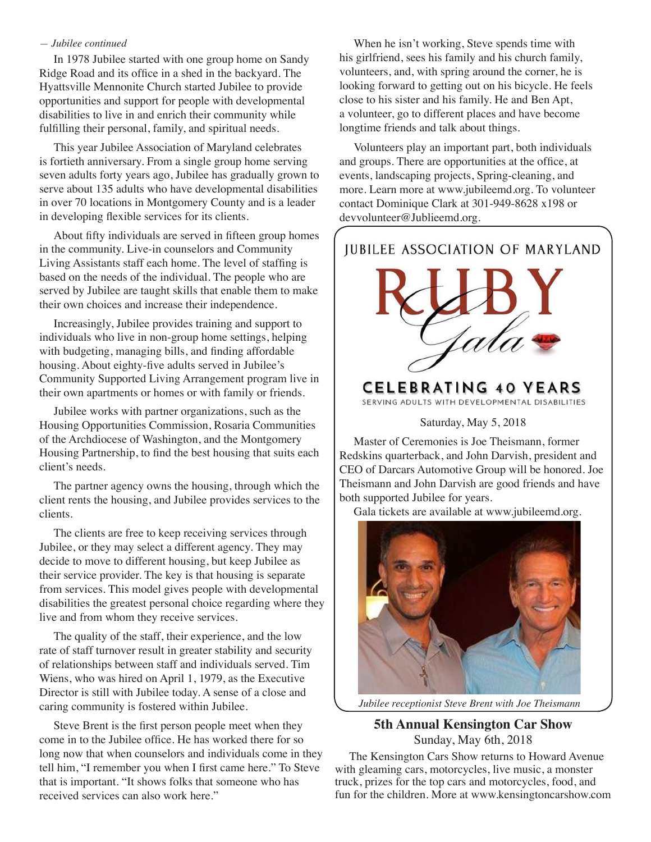#### *— Jubilee continued*

In 1978 Jubilee started with one group home on Sandy Ridge Road and its office in a shed in the backyard. The Hyattsville Mennonite Church started Jubilee to provide opportunities and support for people with developmental disabilities to live in and enrich their community while fulfilling their personal, family, and spiritual needs.

This year Jubilee Association of Maryland celebrates is fortieth anniversary. From a single group home serving seven adults forty years ago, Jubilee has gradually grown to serve about 135 adults who have developmental disabilities in over 70 locations in Montgomery County and is a leader in developing flexible services for its clients.

About fifty individuals are served in fifteen group homes in the community. Live-in counselors and Community Living Assistants staff each home. The level of staffing is based on the needs of the individual. The people who are served by Jubilee are taught skills that enable them to make their own choices and increase their independence.

Increasingly, Jubilee provides training and support to individuals who live in non-group home settings, helping with budgeting, managing bills, and finding affordable housing. About eighty-five adults served in Jubilee's Community Supported Living Arrangement program live in their own apartments or homes or with family or friends.

Jubilee works with partner organizations, such as the Housing Opportunities Commission, Rosaria Communities of the Archdiocese of Washington, and the Montgomery Housing Partnership, to find the best housing that suits each client's needs.

The partner agency owns the housing, through which the client rents the housing, and Jubilee provides services to the clients.

The clients are free to keep receiving services through Jubilee, or they may select a different agency. They may decide to move to different housing, but keep Jubilee as their service provider. The key is that housing is separate from services. This model gives people with developmental disabilities the greatest personal choice regarding where they live and from whom they receive services.

The quality of the staff, their experience, and the low rate of staff turnover result in greater stability and security of relationships between staff and individuals served. Tim Wiens, who was hired on April 1, 1979, as the Executive Director is still with Jubilee today. A sense of a close and caring community is fostered within Jubilee.

Steve Brent is the first person people meet when they come in to the Jubilee office. He has worked there for so long now that when counselors and individuals come in they tell him, "I remember you when I first came here." To Steve that is important. "It shows folks that someone who has received services can also work here."

When he isn't working, Steve spends time with his girlfriend, sees his family and his church family, volunteers, and, with spring around the corner, he is looking forward to getting out on his bicycle. He feels close to his sister and his family. He and Ben Apt, a volunteer, go to different places and have become longtime friends and talk about things.

Volunteers play an important part, both individuals and groups. There are opportunities at the office, at events, landscaping projects, Spring-cleaning, and more. Learn more at www.jubileemd.org. To volunteer contact Dominique Clark at 301-949-8628 x198 or devvolunteer@Jublieemd.org.



Master of Ceremonies is Joe Theismann, former Redskins quarterback, and John Darvish, president and CEO of Darcars Automotive Group will be honored. Joe Theismann and John Darvish are good friends and have both supported Jubilee for years.

Gala tickets are available at www.jubileemd.org.



*Jubilee receptionist Steve Brent with Joe Theismann*

#### **5th Annual Kensington Car Show** Sunday, May 6th, 2018

The Kensington Cars Show returns to Howard Avenue with gleaming cars, motorcycles, live music, a monster truck, prizes for the top cars and motorcycles, food, and fun for the children. More at www.kensingtoncarshow.com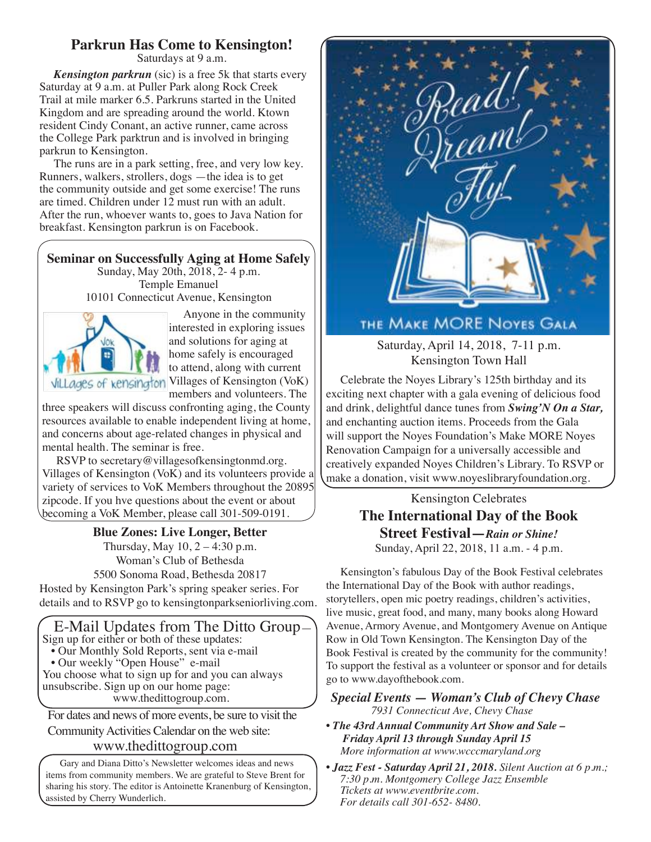# **Parkrun Has Come to Kensington!**

Saturdays at 9 a.m.

*Kensington parkrun* (sic) is a free 5k that starts every Saturday at 9 a.m. at Puller Park along Rock Creek Trail at mile marker 6.5. Parkruns started in the United Kingdom and are spreading around the world. Ktown resident Cindy Conant, an active runner, came across the College Park parktrun and is involved in bringing parkrun to Kensington.

The runs are in a park setting, free, and very low key. Runners, walkers, strollers, dogs —the idea is to get the community outside and get some exercise! The runs are timed. Children under 12 must run with an adult. After the run, whoever wants to, goes to Java Nation for breakfast. Kensington parkrun is on Facebook.

# **Seminar on Successfully Aging at Home Safely**

Sunday, May 20th, 2018, 2- 4 p.m. Temple Emanuel 10101 Connecticut Avenue, Kensington



Anyone in the community interested in exploring issues and solutions for aging at home safely is encouraged to attend, along with current Villages of kensington Villages of Kensington (VoK) members and volunteers. The

three speakers will discuss confronting aging, the County resources available to enable independent living at home, and concerns about age-related changes in physical and mental health. The seminar is free.

RSVP to secretary@villagesofkensingtonmd.org. Villages of Kensington (VoK) and its volunteers provide a variety of services to VoK Members throughout the 20895 zipcode. If you hve questions about the event or about becoming a VoK Member, please call 301-509-0191.

## **Blue Zones: Live Longer, Better**

Thursday, May  $10$ ,  $2 - 4:30$  p.m. Woman's Club of Bethesda 5500 Sonoma Road, Bethesda 20817

Hosted by Kensington Park's spring speaker series. For details and to RSVP go to kensingtonparkseniorliving.com.

 E-Mail Updates from The Ditto Group— Sign up for either or both of these updates: • Our Monthly Sold Reports, sent via e-mail

• Our weekly "Open House" e-mail

You choose what to sign up for and you can always unsubscribe. Sign up on our home page: www.thedittogroup.com.

For dates and news of more events, be sure to visit the Community Activities Calendar on the web site:

## www.thedittogroup.com

Gary and Diana Ditto's Newsletter welcomes ideas and news items from community members. We are grateful to Steve Brent for sharing his story. The editor is Antoinette Kranenburg of Kensington, assisted by Cherry Wunderlich.



# THE MAKE MORE NOYES GALA

Saturday, April 14, 2018, 7-11 p.m. Kensington Town Hall

Celebrate the Noyes Library's 125th birthday and its exciting next chapter with a gala evening of delicious food and drink, delightful dance tunes from *Swing'N On a Star,* and enchanting auction items. Proceeds from the Gala will support the Noyes Foundation's Make MORE Noyes Renovation Campaign for a universally accessible and creatively expanded Noyes Children's Library. To RSVP or make a donation, visit www.noyeslibraryfoundation.org.

Kensington Celebrates

# **The International Day of the Book Street Festival—***Rain or Shine!* Sunday, April 22, 2018, 11 a.m. - 4 p.m.

Kensington's fabulous Day of the Book Festival celebrates the International Day of the Book with author readings, storytellers, open mic poetry readings, children's activities, live music, great food, and many, many books along Howard Avenue, Armory Avenue, and Montgomery Avenue on Antique Row in Old Town Kensington. The Kensington Day of the Book Festival is created by the community for the community! To support the festival as a volunteer or sponsor and for details go to www.dayofthebook.com.

### *Special Events — Woman's Club of Chevy Chase 7931 Connecticut Ave, Chevy Chase*

- *The 43rd Annual Community Art Show and Sale Friday April 13 through Sunday April 15 More information at www.wcccmaryland.org*
- *Jazz Fest Saturday April 21, 2018. Silent Auction at 6 p.m.; 7:30 p.m. Montgomery College Jazz Ensemble Tickets at www.eventbrite.com. For details call 301-652- 8480.*